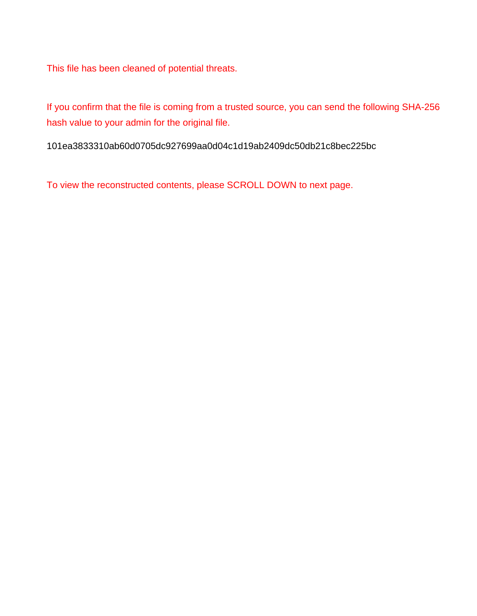This file has been cleaned of potential threats.

If you confirm that the file is coming from a trusted source, you can send the following SHA-256 hash value to your admin for the original file.

101ea3833310ab60d0705dc927699aa0d04c1d19ab2409dc50db21c8bec225bc

To view the reconstructed contents, please SCROLL DOWN to next page.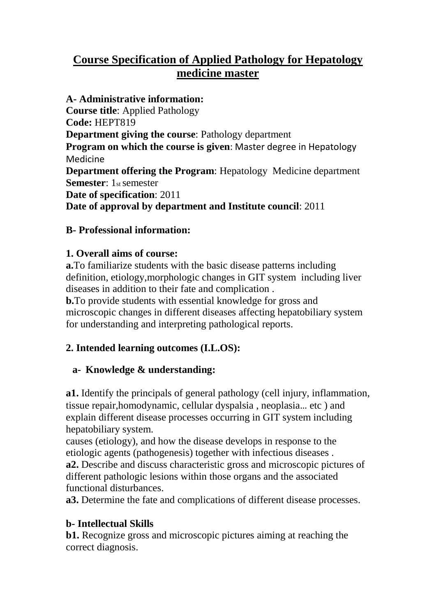# **Course Specification of Applied Pathology for Hepatology medicine master**

**A- Administrative information: Course title**: Applied Pathology **Code:** HEPT819 **Department giving the course**: Pathology department **Program on which the course is given**: Master degree in Hepatology Medicine **Department offering the Program**: Hepatology Medicine department **Semester**: 1st semester **Date of specification**: 2011 **Date of approval by department and Institute council**: 2011

## **B- Professional information:**

## **1. Overall aims of course:**

**a.**To familiarize students with the basic disease patterns including definition, etiology,morphologic changes in GIT system including liver diseases in addition to their fate and complication .

**b.**To provide students with essential knowledge for gross and microscopic changes in different diseases affecting hepatobiliary system for understanding and interpreting pathological reports.

## **2. Intended learning outcomes (I.L.OS):**

## **a- Knowledge & understanding:**

**a1.** Identify the principals of general pathology (cell injury, inflammation, tissue repair,homodynamic, cellular dyspalsia , neoplasia… etc ) and explain different disease processes occurring in GIT system including hepatobiliary system.

causes (etiology), and how the disease develops in response to the etiologic agents (pathogenesis) together with infectious diseases . **a2.** Describe and discuss characteristic gross and microscopic pictures of different pathologic lesions within those organs and the associated functional disturbances.

**a3.** Determine the fate and complications of different disease processes.

## **b- Intellectual Skills**

**b1.** Recognize gross and microscopic pictures aiming at reaching the correct diagnosis.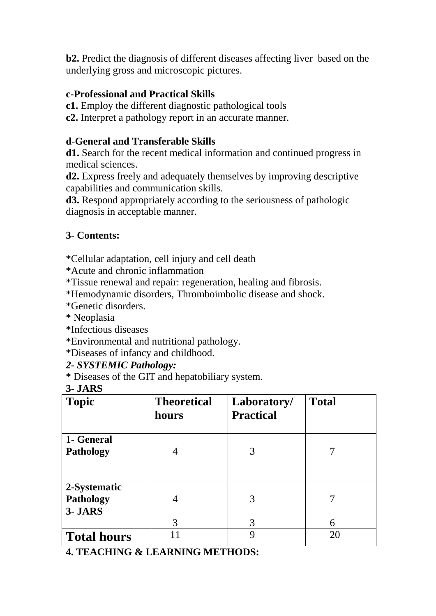**b2.** Predict the diagnosis of different diseases affecting liver based on the underlying gross and microscopic pictures.

## **c-Professional and Practical Skills**

**c1.** Employ the different diagnostic pathological tools

**c2.** Interpret a pathology report in an accurate manner.

## **d-General and Transferable Skills**

**d1.** Search for the recent medical information and continued progress in medical sciences.

**d2.** Express freely and adequately themselves by improving descriptive capabilities and communication skills.

**d3.** Respond appropriately according to the seriousness of pathologic diagnosis in acceptable manner.

## **3- Contents:**

\*Cellular adaptation, cell injury and cell death

\*Acute and chronic inflammation

\*Tissue renewal and repair: regeneration, healing and fibrosis.

\*Hemodynamic disorders, Thromboimbolic disease and shock.

\*Genetic disorders.

\* Neoplasia

\*Infectious diseases

\*Environmental and nutritional pathology.

\*Diseases of infancy and childhood.

#### *2- SYSTEMIC Pathology:*

\* Diseases of the GIT and hepatobiliary system.

## **3- JARS**

| <b>Topic</b>       | <b>Theoretical</b><br>hours | Laboratory/<br><b>Practical</b> | <b>Total</b> |
|--------------------|-----------------------------|---------------------------------|--------------|
| 1- General         |                             |                                 |              |
| <b>Pathology</b>   | 4                           | 3                               |              |
|                    |                             |                                 |              |
| 2-Systematic       |                             |                                 |              |
| <b>Pathology</b>   | 4                           | 3                               |              |
| 3- JARS            |                             |                                 |              |
|                    | 3                           | 3                               | 6            |
| <b>Total hours</b> |                             | 9                               | 20           |

**4. TEACHING & LEARNING METHODS:**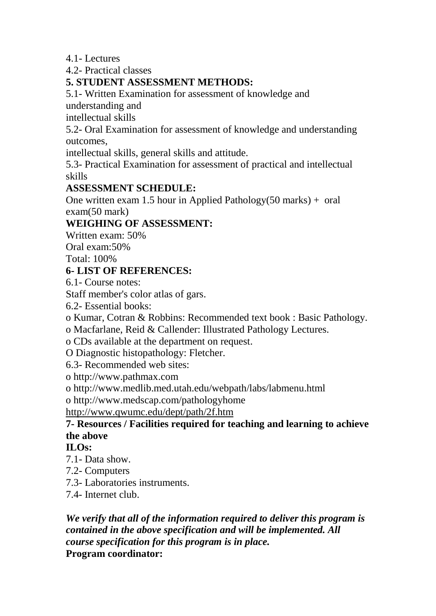4.1- Lectures

4.2- Practical classes

## **5. STUDENT ASSESSMENT METHODS:**

5.1- Written Examination for assessment of knowledge and

understanding and

intellectual skills

5.2- Oral Examination for assessment of knowledge and understanding outcomes,

intellectual skills, general skills and attitude.

5.3- Practical Examination for assessment of practical and intellectual skills

## **ASSESSMENT SCHEDULE:**

One written exam 1.5 hour in Applied Pathology $(50 \text{ marks}) + \text{ oral}$ exam(50 mark)

## **WEIGHING OF ASSESSMENT:**

Written exam: 50%

Oral exam:50%

Total: 100%

#### **6- LIST OF REFERENCES:**

6.1- Course notes:

Staff member's color atlas of gars.

6.2- Essential books:

o Kumar, Cotran & Robbins: Recommended text book : Basic Pathology.

o Macfarlane, Reid & Callender: Illustrated Pathology Lectures.

o CDs available at the department on request.

O Diagnostic histopathology: Fletcher.

6.3- Recommended web sites:

o http://www.pathmax.com

o http://www.medlib.med.utah.edu/webpath/labs/labmenu.html

o http://www.medscap.com/pathologyhome

http://www.qwumc.edu/dept/path/2f.htm

## **7- Resources / Facilities required for teaching and learning to achieve the above**

#### **ILOs:**

7.1- Data show.

- 7.2- Computers
- 7.3- Laboratories instruments.

7.4- Internet club.

*We verify that all of the information required to deliver this program is contained in the above specification and will be implemented. All course specification for this program is in place.* **Program coordinator:**